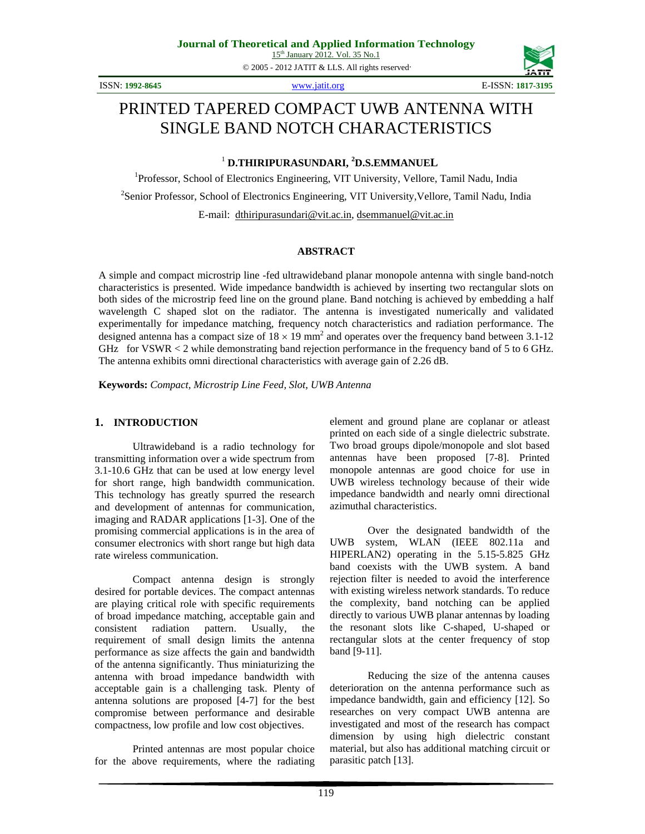© 2005 - 2012 JATIT & LLS. All rights reserved.

ISSN: **1992-8645** www.jatit.org E-ISSN: **1817-3195**



# PRINTED TAPERED COMPACT UWB ANTENNA WITH SINGLE BAND NOTCH CHARACTERISTICS

<sup>1</sup> **D.THIRIPURASUNDARI, <sup>2</sup> D.S.EMMANUEL**

<sup>1</sup>Professor, School of Electronics Engineering, VIT University, Vellore, Tamil Nadu, India <sup>2</sup> Senior Professor, School of Electronics Engineering, VIT University, Vellore, Tamil Nadu, India E-mail: dthiripurasundari@vit.ac.in, dsemmanuel@vit.ac.in

#### **ABSTRACT**

A simple and compact microstrip line -fed ultrawideband planar monopole antenna with single band-notch characteristics is presented. Wide impedance bandwidth is achieved by inserting two rectangular slots on both sides of the microstrip feed line on the ground plane. Band notching is achieved by embedding a half wavelength C shaped slot on the radiator. The antenna is investigated numerically and validated experimentally for impedance matching, frequency notch characteristics and radiation performance. The designed antenna has a compact size of  $18 \times 19$  mm<sup>2</sup> and operates over the frequency band between 3.1-12 GHz for VSWR < 2 while demonstrating band rejection performance in the frequency band of 5 to 6 GHz. The antenna exhibits omni directional characteristics with average gain of 2.26 dB.

**Keywords:** *Compact, Microstrip Line Feed, Slot, UWB Antenna*

## **1. INTRODUCTION**

Ultrawideband is a radio technology for transmitting information over a wide spectrum from 3.1-10.6 GHz that can be used at low energy level for short range, high bandwidth communication. This technology has greatly spurred the research and development of antennas for communication, imaging and RADAR applications [1-3]. One of the promising commercial applications is in the area of consumer electronics with short range but high data rate wireless communication.

Compact antenna design is strongly desired for portable devices. The compact antennas are playing critical role with specific requirements of broad impedance matching, acceptable gain and consistent radiation pattern. Usually, the requirement of small design limits the antenna performance as size affects the gain and bandwidth of the antenna significantly. Thus miniaturizing the antenna with broad impedance bandwidth with acceptable gain is a challenging task. Plenty of antenna solutions are proposed [4-7] for the best compromise between performance and desirable compactness, low profile and low cost objectives.

Printed antennas are most popular choice for the above requirements, where the radiating element and ground plane are coplanar or atleast printed on each side of a single dielectric substrate. Two broad groups dipole/monopole and slot based antennas have been proposed [7-8]. Printed monopole antennas are good choice for use in UWB wireless technology because of their wide impedance bandwidth and nearly omni directional azimuthal characteristics.

Over the designated bandwidth of the UWB system, WLAN (IEEE 802.11a and HIPERLAN2) operating in the 5.15-5.825 GHz band coexists with the UWB system. A band rejection filter is needed to avoid the interference with existing wireless network standards. To reduce the complexity, band notching can be applied directly to various UWB planar antennas by loading the resonant slots like C-shaped, U-shaped or rectangular slots at the center frequency of stop band [9-11].

Reducing the size of the antenna causes deterioration on the antenna performance such as impedance bandwidth, gain and efficiency [12]. So researches on very compact UWB antenna are investigated and most of the research has compact dimension by using high dielectric constant material, but also has additional matching circuit or parasitic patch [13].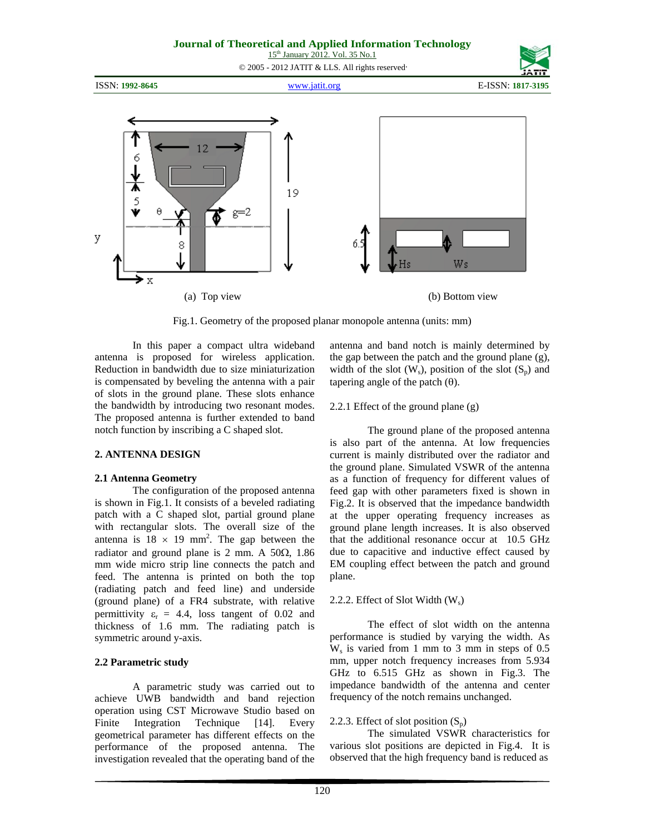#### **Journal of Theoretical and Applied Information Technology**  15<sup>th</sup> January 2012. Vol. 35 No.1 © 2005 - 2012 JATIT & LLS. All rights reserved.

ISSN: **1992-8645** www.jatit.org E-ISSN: **1817-3195**

12 19 5  $g=2$ у Ws X (a) Top view (b) Bottom view

Fig.1. Geometry of the proposed planar monopole antenna (units: mm)

In this paper a compact ultra wideband antenna is proposed for wireless application. Reduction in bandwidth due to size miniaturization is compensated by beveling the antenna with a pair of slots in the ground plane. These slots enhance the bandwidth by introducing two resonant modes. The proposed antenna is further extended to band notch function by inscribing a C shaped slot.

# **2. ANTENNA DESIGN**

#### **2.1 Antenna Geometry**

The configuration of the proposed antenna is shown in Fig.1. It consists of a beveled radiating patch with a C shaped slot, partial ground plane with rectangular slots. The overall size of the antenna is  $18 \times 19$  mm<sup>2</sup>. The gap between the radiator and ground plane is 2 mm. A  $50\Omega$ , 1.86 mm wide micro strip line connects the patch and feed. The antenna is printed on both the top (radiating patch and feed line) and underside (ground plane) of a FR4 substrate, with relative permittivity  $\varepsilon_r = 4.4$ , loss tangent of 0.02 and thickness of 1.6 mm. The radiating patch is symmetric around y-axis.

# **2.2 Parametric study**

A parametric study was carried out to achieve UWB bandwidth and band rejection operation using CST Microwave Studio based on Finite Integration Technique [14]. Every geometrical parameter has different effects on the performance of the proposed antenna. The investigation revealed that the operating band of the antenna and band notch is mainly determined by the gap between the patch and the ground plane (g), width of the slot  $(W_s)$ , position of the slot  $(S_n)$  and tapering angle of the patch  $(\theta)$ .

## 2.2.1 Effect of the ground plane (g)

The ground plane of the proposed antenna is also part of the antenna. At low frequencies current is mainly distributed over the radiator and the ground plane. Simulated VSWR of the antenna as a function of frequency for different values of feed gap with other parameters fixed is shown in Fig.2. It is observed that the impedance bandwidth at the upper operating frequency increases as ground plane length increases. It is also observed that the additional resonance occur at 10.5 GHz due to capacitive and inductive effect caused by EM coupling effect between the patch and ground plane.

#### 2.2.2. Effect of Slot Width (W<sub>s</sub>)

The effect of slot width on the antenna performance is studied by varying the width. As  $W_s$  is varied from 1 mm to 3 mm in steps of 0.5 mm, upper notch frequency increases from 5.934 GHz to 6.515 GHz as shown in Fig.3. The impedance bandwidth of the antenna and center frequency of the notch remains unchanged.

# 2.2.3. Effect of slot position  $(S_p)$

 The simulated VSWR characteristics for various slot positions are depicted in Fig.4. It is observed that the high frequency band is reduced as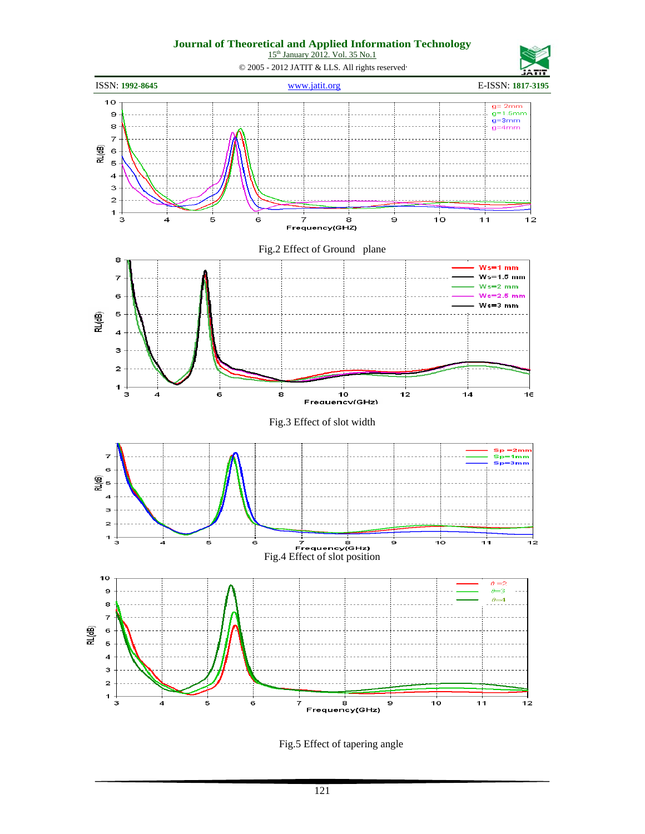15<sup>th</sup> January 2012. Vol. 35 No.1



Fig.5 Effect of tapering angle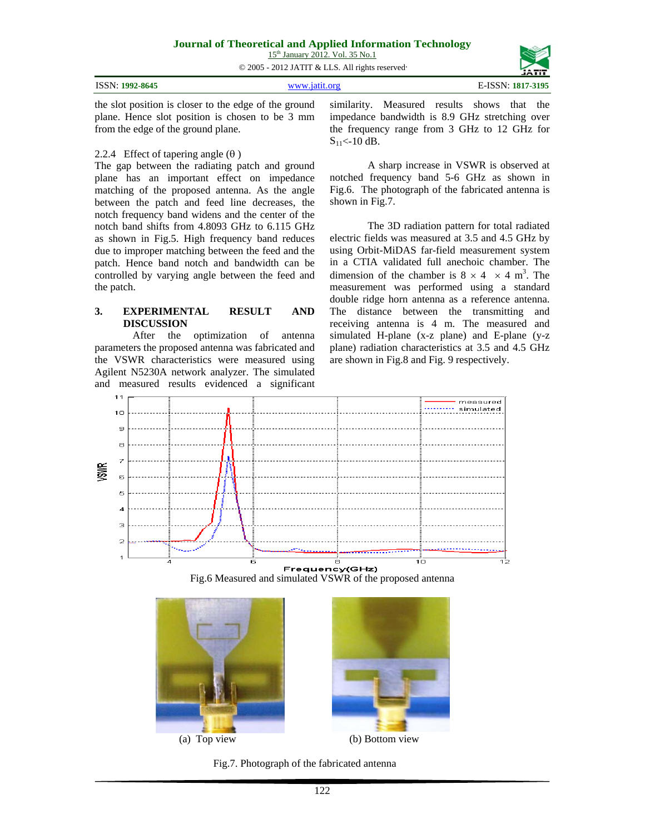#### **Journal of Theoretical and Applied Information Technology**

15<sup>th</sup> January 2012. Vol. 35 No.1

© 2005 - 2012 JATIT & LLS. All rights reserved.

|                 |                      | -----             |
|-----------------|----------------------|-------------------|
| ISSN: 1992-8645 | www istit org        | E-ISSN: 1817-3195 |
| .               | .<br>$ -$<br>_______ |                   |

the slot position is closer to the edge of the ground plane. Hence slot position is chosen to be 3 mm from the edge of the ground plane.

#### 2.2.4 Effect of tapering angle  $(\theta)$

The gap between the radiating patch and ground plane has an important effect on impedance matching of the proposed antenna. As the angle between the patch and feed line decreases, the notch frequency band widens and the center of the notch band shifts from 4.8093 GHz to 6.115 GHz as shown in Fig.5. High frequency band reduces due to improper matching between the feed and the patch. Hence band notch and bandwidth can be controlled by varying angle between the feed and the patch.

#### **3. EXPERIMENTAL RESULT AND DISCUSSION**

After the optimization of antenna parameters the proposed antenna was fabricated and the VSWR characteristics were measured using Agilent N5230A network analyzer. The simulated and measured results evidenced a significant similarity. Measured results shows that the impedance bandwidth is 8.9 GHz stretching over the frequency range from 3 GHz to 12 GHz for  $S_{11}$  < -10 dB.

A sharp increase in VSWR is observed at notched frequency band 5-6 GHz as shown in Fig.6. The photograph of the fabricated antenna is shown in Fig.7.

The 3D radiation pattern for total radiated electric fields was measured at 3.5 and 4.5 GHz by using Orbit-MiDAS far-field measurement system in a CTIA validated full anechoic chamber. The dimension of the chamber is  $8 \times 4 \times 4$  m<sup>3</sup>. The measurement was performed using a standard double ridge horn antenna as a reference antenna. The distance between the transmitting and receiving antenna is 4 m. The measured and simulated H-plane (x-z plane) and E-plane (y-z plane) radiation characteristics at 3.5 and 4.5 GHz are shown in Fig.8 and Fig. 9 respectively.



Fig.6 Measured and simulated VSWR of the proposed antenna







Fig.7. Photograph of the fabricated antenna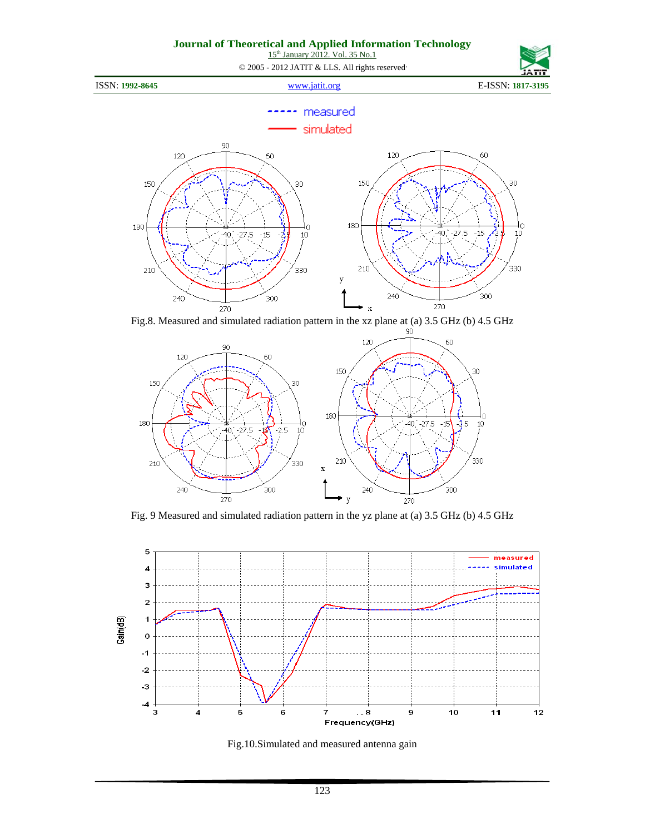15<sup>th</sup> January 2012. Vol. 35 No.1

© 2005 - 2012 JATIT & LLS. All rights reserved.



#### measured simulated 90 120 120 60 60 150 150 30 30 180 180 Ó O 40,  $-15$  $275$  $15 10<sup>7</sup>$  $-27.5$ ź. 40.  $10<sup>10</sup>$ 210 330 210 330 y  $240$ .<br>300 240 300 Fig.8. Measured and simulated radiation pattern in the xz plane at (a) 3.5 GHz (b) 4.5 GHz



Fig. 9 Measured and simulated radiation pattern in the yz plane at (a) 3.5 GHz (b) 4.5 GHz



Fig.10.Simulated and measured antenna gain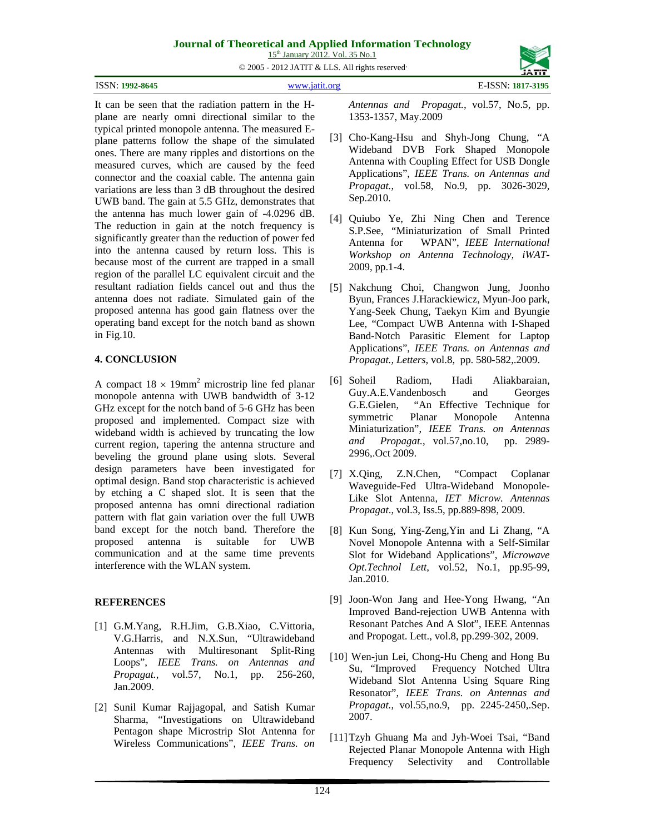# **Journal of Theoretical and Applied Information Technology**

15<sup>th</sup> January 2012. Vol. 35 No.1

© 2005 - 2012 JATIT & LLS. All rights reserved.

| ISSN: 1992-8645 | --------<br>E-ISSN: 1817-3195 |
|-----------------|-------------------------------|
|                 |                               |

It can be seen that the radiation pattern in the Hplane are nearly omni directional similar to the typical printed monopole antenna. The measured Eplane patterns follow the shape of the simulated ones. There are many ripples and distortions on the measured curves, which are caused by the feed connector and the coaxial cable. The antenna gain variations are less than 3 dB throughout the desired UWB band. The gain at 5.5 GHz, demonstrates that the antenna has much lower gain of -4.0296 dB. The reduction in gain at the notch frequency is significantly greater than the reduction of power fed into the antenna caused by return loss. This is because most of the current are trapped in a small region of the parallel LC equivalent circuit and the resultant radiation fields cancel out and thus the antenna does not radiate. Simulated gain of the proposed antenna has good gain flatness over the operating band except for the notch band as shown in Fig.10.

# **4. CONCLUSION**

A compact  $18 \times 19$ mm<sup>2</sup> microstrip line fed planar monopole antenna with UWB bandwidth of 3-12 GHz except for the notch band of 5-6 GHz has been proposed and implemented. Compact size with wideband width is achieved by truncating the low current region, tapering the antenna structure and beveling the ground plane using slots. Several design parameters have been investigated for optimal design. Band stop characteristic is achieved by etching a C shaped slot. It is seen that the proposed antenna has omni directional radiation pattern with flat gain variation over the full UWB band except for the notch band. Therefore the proposed antenna is suitable for UWB communication and at the same time prevents interference with the WLAN system.

# **REFERENCES**

- [1] G.M.Yang, R.H.Jim, G.B.Xiao, C.Vittoria, V.G.Harris, and N.X.Sun, "Ultrawideband Antennas with Multiresonant Split-Ring Loops", *IEEE Trans. on Antennas and Propagat.*, vol.57, No.1, pp. 256-260, Jan.2009.
- [2] Sunil Kumar Rajjagopal, and Satish Kumar Sharma, "Investigations on Ultrawideband Pentagon shape Microstrip Slot Antenna for Wireless Communications", *IEEE Trans. on*

*Antennas and Propagat.*, vol.57, No.5, pp. 1353-1357, May.2009

- [3] Cho-Kang-Hsu and Shyh-Jong Chung, "A Wideband DVB Fork Shaped Monopole Antenna with Coupling Effect for USB Dongle Applications", *IEEE Trans. on Antennas and Propagat.*, vol.58, No.9, pp. 3026-3029, Sep.2010.
- [4] Quiubo Ye, Zhi Ning Chen and Terence S.P.See, "Miniaturization of Small Printed<br>Antenna for WPAN", IEEE International WPAN", *IEEE International Workshop on Antenna Technology, iWAT-*2009, pp.1-4.
- [5] Nakchung Choi, Changwon Jung, Joonho Byun, Frances J.Harackiewicz, Myun-Joo park, Yang-Seek Chung, Taekyn Kim and Byungie Lee, "Compact UWB Antenna with I-Shaped Band-Notch Parasitic Element for Laptop Applications", *IEEE Trans. on Antennas and Propagat., Letters*, vol.8, pp. 580-582,.2009.
- [6] Soheil Radiom, Hadi Aliakbaraian, Guy.A.E.Vandenbosch and Georges G.E.Gielen, "An Effective Technique for symmetric Planar Monopole Antenna Miniaturization", *IEEE Trans. on Antennas and Propagat.*, vol.57,no.10, pp. 2989- 2996,.Oct 2009.
- [7] X.Qing, Z.N.Chen, "Compact Coplanar Waveguide-Fed Ultra-Wideband Monopole-Like Slot Antenna, *IET Microw. Antennas Propagat*., vol.3, Iss.5, pp.889-898, 2009.
- [8] Kun Song, Ying-Zeng,Yin and Li Zhang, "A Novel Monopole Antenna with a Self-Similar Slot for Wideband Applications", *Microwave Opt.Technol Lett*, vol.52, No.1, pp.95-99, Jan.2010.
- [9] Joon-Won Jang and Hee-Yong Hwang, "An Improved Band-rejection UWB Antenna with Resonant Patches And A Slot", IEEE Antennas and Propogat. Lett., vol.8, pp.299-302, 2009.
- [10] Wen-jun Lei, Chong-Hu Cheng and Hong Bu Su, "Improved Frequency Notched Ultra Wideband Slot Antenna Using Square Ring Resonator", *IEEE Trans. on Antennas and Propagat.*, vol.55,no.9, pp. 2245-2450,.Sep. 2007.
- [11]Tzyh Ghuang Ma and Jyh-Woei Tsai, "Band Rejected Planar Monopole Antenna with High Frequency Selectivity and Controllable